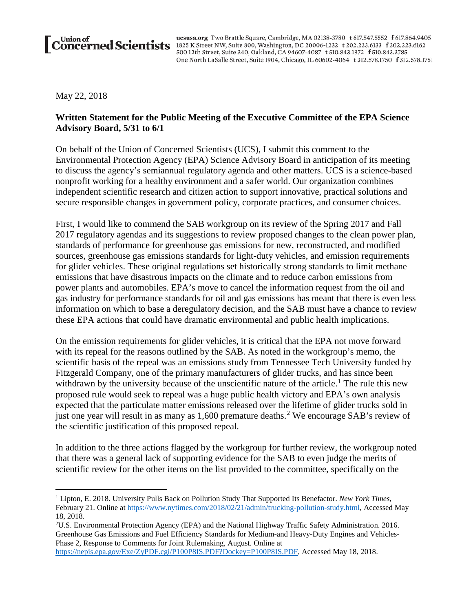ucsusa.org Two Brattle Square, Cambridge, MA 02138-3780 t 617.547.5552 f 617.864.9405 Union of ususa.org Two Brattle Square, Cambridge, MA 02138-3780 t 617.547.5552 f 617.864.940 500 12th Street, Suite 340, Oakland, CA 94607-4087 t 510.843.1872 f 510.843.3785 One North LaSalle Street, Suite 1904, Chicago, IL 60602-4064 t 312.578.1750 f 312.578.1751

May 22, 2018

 $\overline{a}$ 

## **Written Statement for the Public Meeting of the Executive Committee of the EPA Science Advisory Board, 5/31 to 6/1**

On behalf of the Union of Concerned Scientists (UCS), I submit this comment to the Environmental Protection Agency (EPA) Science Advisory Board in anticipation of its meeting to discuss the agency's semiannual regulatory agenda and other matters. UCS is a science-based nonprofit working for a healthy environment and a safer world. Our organization combines independent scientific research and citizen action to support innovative, practical solutions and secure responsible changes in government policy, corporate practices, and consumer choices.

First, I would like to commend the SAB workgroup on its review of the Spring 2017 and Fall 2017 regulatory agendas and its suggestions to review proposed changes to the clean power plan, standards of performance for greenhouse gas emissions for new, reconstructed, and modified sources, greenhouse gas emissions standards for light-duty vehicles, and emission requirements for glider vehicles. These original regulations set historically strong standards to limit methane emissions that have disastrous impacts on the climate and to reduce carbon emissions from power plants and automobiles. EPA's move to cancel the information request from the oil and gas industry for performance standards for oil and gas emissions has meant that there is even less information on which to base a deregulatory decision, and the SAB must have a chance to review these EPA actions that could have dramatic environmental and public health implications.

On the emission requirements for glider vehicles, it is critical that the EPA not move forward with its repeal for the reasons outlined by the SAB. As noted in the workgroup's memo, the scientific basis of the repeal was an emissions study from Tennessee Tech University funded by Fitzgerald Company, one of the primary manufacturers of glider trucks, and has since been withdrawn by the university because of the unscientific nature of the article.<sup>[1](#page-0-0)</sup> The rule this new proposed rule would seek to repeal was a huge public health victory and EPA's own analysis expected that the particulate matter emissions released over the lifetime of glider trucks sold in just one year will result in as many as 1,600 premature deaths.<sup>[2](#page-0-1)</sup> We encourage SAB's review of the scientific justification of this proposed repeal.

In addition to the three actions flagged by the workgroup for further review, the workgroup noted that there was a general lack of supporting evidence for the SAB to even judge the merits of scientific review for the other items on the list provided to the committee, specifically on the

<span id="page-0-0"></span><sup>1</sup> Lipton, E. 2018. University Pulls Back on Pollution Study That Supported Its Benefactor. *New York Times*, February 21. Online at [https://www.nytimes.com/2018/02/21/admin/trucking-pollution-study.html,](https://www.nytimes.com/2018/02/21/admin/trucking-pollution-study.html) Accessed May 18, 2018.

<span id="page-0-1"></span><sup>2</sup> U.S. Environmental Protection Agency (EPA) and the National Highway Traffic Safety Administration. 2016. Greenhouse Gas Emissions and Fuel Efficiency Standards for Medium-and Heavy-Duty Engines and Vehicles-Phase 2, Response to Comments for Joint Rulemaking, August. Online at [https://nepis.epa.gov/Exe/ZyPDF.cgi/P100P8IS.PDF?Dockey=P100P8IS.PDF,](https://nepis.epa.gov/Exe/ZyPDF.cgi/P100P8IS.PDF?Dockey=P100P8IS.PDF) Accessed May 18, 2018.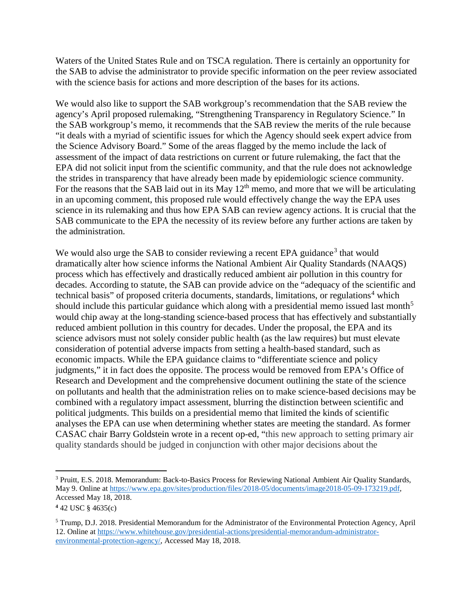Waters of the United States Rule and on TSCA regulation. There is certainly an opportunity for the SAB to advise the administrator to provide specific information on the peer review associated with the science basis for actions and more description of the bases for its actions.

We would also like to support the SAB workgroup's recommendation that the SAB review the agency's April proposed rulemaking, "Strengthening Transparency in Regulatory Science." In the SAB workgroup's memo, it recommends that the SAB review the merits of the rule because "it deals with a myriad of scientific issues for which the Agency should seek expert advice from the Science Advisory Board." Some of the areas flagged by the memo include the lack of assessment of the impact of data restrictions on current or future rulemaking, the fact that the EPA did not solicit input from the scientific community, and that the rule does not acknowledge the strides in transparency that have already been made by epidemiologic science community. For the reasons that the SAB laid out in its May  $12<sup>th</sup>$  memo, and more that we will be articulating in an upcoming comment, this proposed rule would effectively change the way the EPA uses science in its rulemaking and thus how EPA SAB can review agency actions. It is crucial that the SAB communicate to the EPA the necessity of its review before any further actions are taken by the administration.

We would also urge the SAB to consider reviewing a recent EPA guidance<sup>[3](#page-1-0)</sup> that would dramatically alter how science informs the National Ambient Air Quality Standards (NAAQS) process which has effectively and drastically reduced ambient air pollution in this country for decades. According to statute, the SAB can provide advice on the "adequacy of the scientific and technical basis" of proposed criteria documents, standards, limitations, or regulations<sup>[4](#page-1-1)</sup> which should include this particular guidance which along with a presidential memo issued last month<sup>[5](#page-1-2)</sup> would chip away at the long-standing science-based process that has effectively and substantially reduced ambient pollution in this country for decades. Under the proposal, the EPA and its science advisors must not solely consider public health (as the law requires) but must elevate consideration of potential adverse impacts from setting a health-based standard, such as economic impacts. While the EPA guidance claims to "differentiate science and policy judgments," it in fact does the opposite. The process would be removed from EPA's Office of Research and Development and the comprehensive document outlining the state of the science on pollutants and health that the administration relies on to make science-based decisions may be combined with a regulatory impact assessment, blurring the distinction between scientific and political judgments. This builds on a presidential memo that limited the kinds of scientific analyses the EPA can use when determining whether states are meeting the standard. As former CASAC chair Barry Goldstein wrote in a recent op-ed, "this new approach to setting primary air quality standards should be judged in conjunction with other major decisions about the

 $\overline{a}$ 

<span id="page-1-0"></span><sup>3</sup> Pruitt, E.S. 2018. Memorandum: Back-to-Basics Process for Reviewing National Ambient Air Quality Standards, May 9. Online at [https://www.epa.gov/sites/production/files/2018-05/documents/image2018-05-09-173219.pdf,](https://www.epa.gov/sites/production/files/2018-05/documents/image2018-05-09-173219.pdf) Accessed May 18, 2018.

<span id="page-1-1"></span>**<sup>4</sup>** 42 USC § 4635(c)

<span id="page-1-2"></span><sup>5</sup> Trump, D.J. 2018. Presidential Memorandum for the Administrator of the Environmental Protection Agency, April 12. Online at [https://www.whitehouse.gov/presidential-actions/presidential-memorandum-administrator](https://www.whitehouse.gov/presidential-actions/presidential-memorandum-administrator-environmental-protection-agency/)[environmental-protection-agency/,](https://www.whitehouse.gov/presidential-actions/presidential-memorandum-administrator-environmental-protection-agency/) Accessed May 18, 2018.